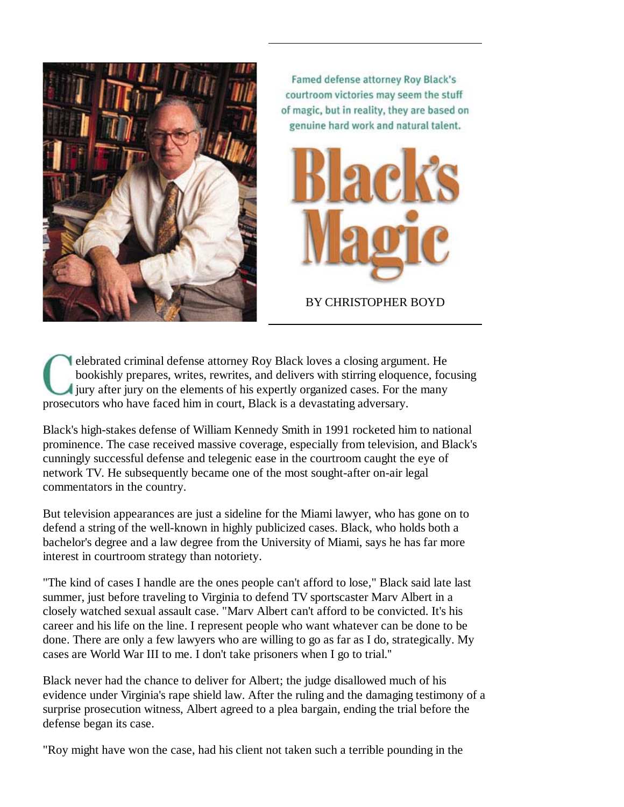

Famed defense attorney Roy Black's courtroom victories may seem the stuff of magic, but in reality, they are based on genuine hard work and natural talent.



BY CHRISTOPHER BOYD

elebrated criminal defense attorney Roy Black loves a closing argument. He bookishly prepares, writes, rewrites, and delivers with stirring eloquence, focusing jury after jury on the elements of his expertly organized cases. For the many prosecutors who have faced him in court, Black is a devastating adversary.

Black's high-stakes defense of William Kennedy Smith in 1991 rocketed him to national prominence. The case received massive coverage, especially from television, and Black's cunningly successful defense and telegenic ease in the courtroom caught the eye of network TV. He subsequently became one of the most sought-after on-air legal commentators in the country.

But television appearances are just a sideline for the Miami lawyer, who has gone on to defend a string of the well-known in highly publicized cases. Black, who holds both a bachelor's degree and a law degree from the University of Miami, says he has far more interest in courtroom strategy than notoriety.

"The kind of cases I handle are the ones people can't afford to lose," Black said late last summer, just before traveling to Virginia to defend TV sportscaster Marv Albert in a closely watched sexual assault case. "Marv Albert can't afford to be convicted. It's his career and his life on the line. I represent people who want whatever can be done to be done. There are only a few lawyers who are willing to go as far as I do, strategically. My cases are World War III to me. I don't take prisoners when I go to trial.''

Black never had the chance to deliver for Albert; the judge disallowed much of his evidence under Virginia's rape shield law. After the ruling and the damaging testimony of a surprise prosecution witness, Albert agreed to a plea bargain, ending the trial before the defense began its case.

"Roy might have won the case, had his client not taken such a terrible pounding in the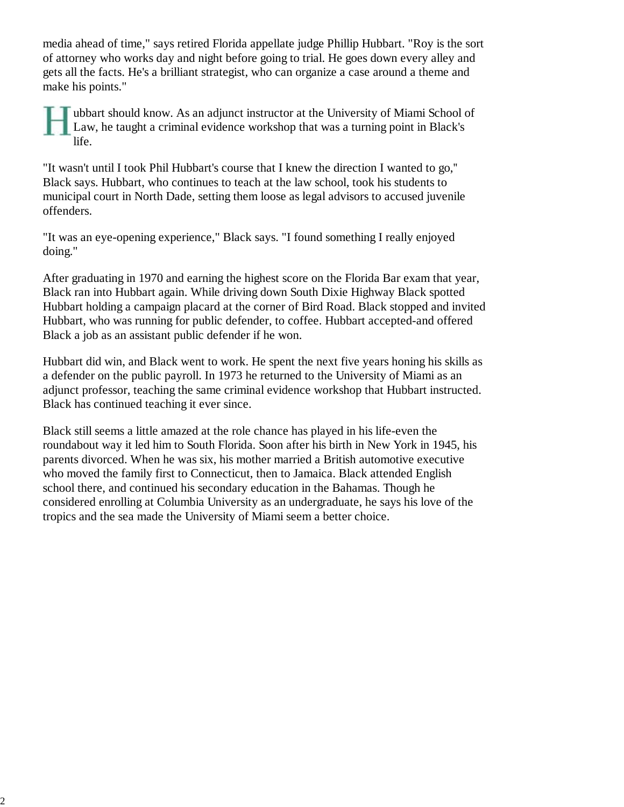media ahead of time," says retired Florida appellate judge Phillip Hubbart. "Roy is the sort of attorney who works day and night before going to trial. He goes down every alley and gets all the facts. He's a brilliant strategist, who can organize a case around a theme and make his points."

ubbart should know. As an adjunct instructor at the University of Miami School of Law, he taught a criminal evidence workshop that was a turning point in Black's life.

"It wasn't until I took Phil Hubbart's course that I knew the direction I wanted to go,'' Black says. Hubbart, who continues to teach at the law school, took his students to municipal court in North Dade, setting them loose as legal advisors to accused juvenile offenders.

"It was an eye-opening experience," Black says. "I found something I really enjoyed doing."

After graduating in 1970 and earning the highest score on the Florida Bar exam that year, Black ran into Hubbart again. While driving down South Dixie Highway Black spotted Hubbart holding a campaign placard at the corner of Bird Road. Black stopped and invited Hubbart, who was running for public defender, to coffee. Hubbart accepted-and offered Black a job as an assistant public defender if he won.

Hubbart did win, and Black went to work. He spent the next five years honing his skills as a defender on the public payroll. In 1973 he returned to the University of Miami as an adjunct professor, teaching the same criminal evidence workshop that Hubbart instructed. Black has continued teaching it ever since.

Black still seems a little amazed at the role chance has played in his life-even the roundabout way it led him to South Florida. Soon after his birth in New York in 1945, his parents divorced. When he was six, his mother married a British automotive executive who moved the family first to Connecticut, then to Jamaica. Black attended English school there, and continued his secondary education in the Bahamas. Though he considered enrolling at Columbia University as an undergraduate, he says his love of the tropics and the sea made the University of Miami seem a better choice.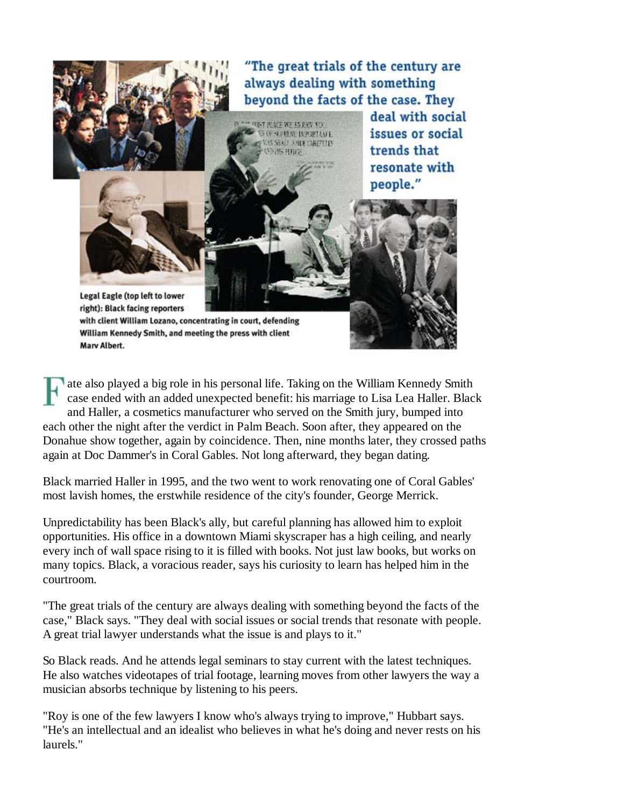"The great trials of the century are always dealing with something beyond the facts of the case. They



ate also played a big role in his personal life. Taking on the William Kennedy Smith case ended with an added unexpected benefit: his marriage to Lisa Lea Haller. Black and Haller, a cosmetics manufacturer who served on the Smith jury, bumped into each other the night after the verdict in Palm Beach. Soon after, they appeared on the Donahue show together, again by coincidence. Then, nine months later, they crossed paths again at Doc Dammer's in Coral Gables. Not long afterward, they began dating.

Black married Haller in 1995, and the two went to work renovating one of Coral Gables' most lavish homes, the erstwhile residence of the city's founder, George Merrick.

Unpredictability has been Black's ally, but careful planning has allowed him to exploit opportunities. His office in a downtown Miami skyscraper has a high ceiling, and nearly every inch of wall space rising to it is filled with books. Not just law books, but works on many topics. Black, a voracious reader, says his curiosity to learn has helped him in the courtroom.

"The great trials of the century are always dealing with something beyond the facts of the case," Black says. "They deal with social issues or social trends that resonate with people. A great trial lawyer understands what the issue is and plays to it."

So Black reads. And he attends legal seminars to stay current with the latest techniques. He also watches videotapes of trial footage, learning moves from other lawyers the way a musician absorbs technique by listening to his peers.

"Roy is one of the few lawyers I know who's always trying to improve," Hubbart says. "He's an intellectual and an idealist who believes in what he's doing and never rests on his laurels."